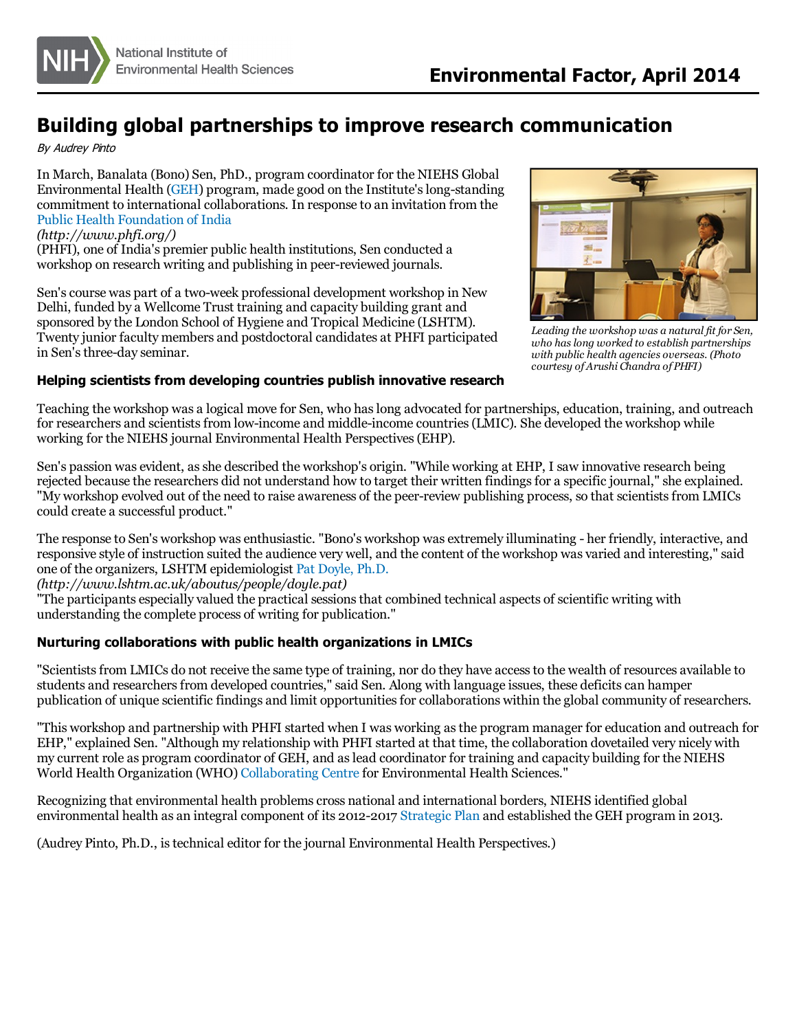

## **Building global partnerships to improve research communication**

By Audrey Pinto

In March, Banalata (Bono) Sen, PhD., program coordinator for the NIEHS Global Environmental Health [\(GEH](http://www.niehs.nih.gov/research/programs/geh/index.cfm)) program, made good on the Institute's long-standing commitment to international collaborations. In response to an invitation from the [Public Health Foundation of India](http://www.phfi.org/)

## *(http://www.phfi.org/)*

(PHFI), one of India's premier public health institutions, Sen conducted a workshop on research writing and publishing in peer-reviewed journals.

Sen's course was part of a two-week professional development workshop in New Delhi, funded by a Wellcome Trust training and capacity building grant and sponsored by the London School of Hygiene and Tropical Medicine (LSHTM). Twenty junior faculty members and postdoctoral candidates at PHFI participated in Sen's three-day seminar.

## **Helping scientists from developing countries publish innovative research**



*Leading the workshop was a natural fit for Sen, who has long worked to establish partnerships with public health agencies overseas. (Photo courtesy of Arushi Chandra of PHFI)*

Teaching the workshop was a logical move for Sen, who has long advocated for partnerships, education, training, and outreach for researchers and scientists from low-income and middle-income countries (LMIC). She developed the workshop while working for the NIEHS journal Environmental Health Perspectives (EHP).

Sen's passion was evident, as she described the workshop's origin. "While working at EHP, I saw innovative research being rejected because the researchers did not understand how to target their written findings for a specific journal," she explained. "My workshop evolved out of the need to raise awareness of the peer-review publishing process, so that scientists from LMICs could create a successful product."

The response to Sen's workshop was enthusiastic. "Bono's workshop was extremely illuminating - her friendly, interactive, and responsive style of instruction suited the audience very well, and the content of the workshop was varied and interesting," said one of the organizers, LSHTM epidemiologist [Pat Doyle, Ph.D.](http://www.lshtm.ac.uk/aboutus/people/doyle.pat)

*(http://www.lshtm.ac.uk/aboutus/people/doyle.pat)*

"The participants especially valued the practical sessions that combined technical aspects of scientific writing with understanding the complete process of writing for publication."

## **Nurturing collaborations with public health organizations in LMICs**

"Scientists from LMICs do not receive the same type of training, nor do they have access to the wealth of resources available to students and researchers from developed countries," said Sen. Along with language issues, these deficits can hamper publication of unique scientific findings and limit opportunities for collaborations within the global community of researchers.

"This workshop and partnership with PHFI started when I was working as the program manager for education and outreach for EHP," explained Sen. "Although my relationship with PHFI started at that time, the collaboration dovetailed very nicely with my current role as program coordinator of GEH, and as lead coordinator for training and capacity building for the NIEHS World Health Organization (WHO) [Collaborating Centre](http://www.niehs.nih.gov/research/programs/geh/partnerships/index.cfm) for Environmental Health Sciences."

Recognizing that environmental health problems cross national and international borders, NIEHS identified global environmental health as an integral component of its 2012-2017 [Strategic Plan](http://www.niehs.nih.gov/about/strategicplan/index.cfm) and established the GEH program in 2013.

(Audrey Pinto, Ph.D., is technical editor for the journal Environmental Health Perspectives.)